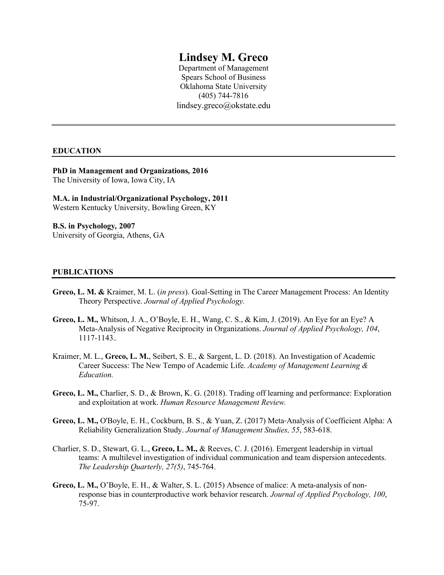# **Lindsey M. Greco**

Department of Management Spears School of Business Oklahoma State University (405) 744-7816 lindsey.greco@okstate.edu

### **EDUCATION**

**PhD in Management and Organizations***,* **2016** The University of Iowa, Iowa City, IA

**M.A. in Industrial/Organizational Psychology, 2011** Western Kentucky University, Bowling Green, KY

**B.S. in Psychology***,* **2007** University of Georgia, Athens, GA

# **PUBLICATIONS**

- **Greco, L. M. &** Kraimer, M. L. (*in press*). Goal-Setting in The Career Management Process: An Identity Theory Perspective. *Journal of Applied Psychology.*
- **Greco, L. M.,** Whitson, J. A., O'Boyle, E. H., Wang, C. S., & Kim, J. (2019). An Eye for an Eye? A Meta-Analysis of Negative Reciprocity in Organizations. *Journal of Applied Psychology, 104*, 1117-1143.*.*
- Kraimer, M. L., **Greco, L. M.**, Seibert, S. E., & Sargent, L. D. (2018). An Investigation of Academic Career Success: The New Tempo of Academic Life. *Academy of Management Learning & Education.*
- **Greco, L. M.,** Charlier, S. D., & Brown, K. G. (2018). Trading off learning and performance: Exploration and exploitation at work. *Human Resource Management Review.*
- **Greco, L. M.,** O'Boyle, E. H., Cockburn, B. S., & Yuan, Z. (2017) Meta‐Analysis of Coefficient Alpha: A Reliability Generalization Study. *Journal of Management Studies, 55*, 583-618.
- Charlier, S. D., Stewart, G. L., **Greco, L. M.,** & Reeves, C. J. (2016). Emergent leadership in virtual teams: A multilevel investigation of individual communication and team dispersion antecedents. *The Leadership Quarterly, 27(5)*, 745-764.
- **Greco, L. M.,** O'Boyle, E. H., & Walter, S. L. (2015) Absence of malice: A meta-analysis of nonresponse bias in counterproductive work behavior research. *Journal of Applied Psychology, 100*, 75-97.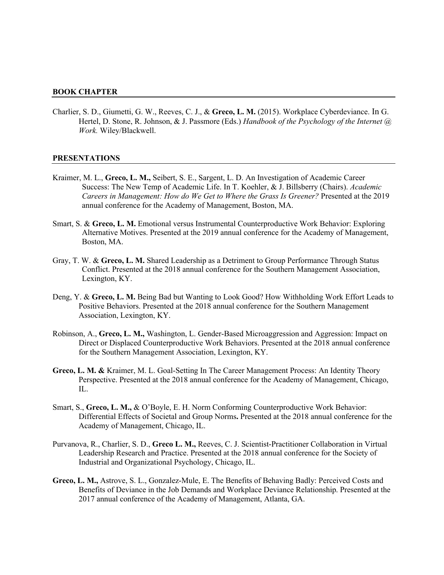#### **BOOK CHAPTER**

Charlier, S. D., Giumetti, G. W., Reeves, C. J., & **Greco, L. M.** (2015). Workplace Cyberdeviance. In G. Hertel, D. Stone, R. Johnson, & J. Passmore (Eds.) *Handbook of the Psychology of the Internet @ Work.* Wiley/Blackwell.

#### **PRESENTATIONS**

- Kraimer, M. L., **Greco, L. M.,** Seibert, S. E., Sargent, L. D. An Investigation of Academic Career Success: The New Temp of Academic Life. In T. Koehler, & J. Billsberry (Chairs). *Academic Careers in Management: How do We Get to Where the Grass Is Greener?* Presented at the 2019 annual conference for the Academy of Management, Boston, MA.
- Smart, S. & **Greco, L. M.** Emotional versus Instrumental Counterproductive Work Behavior: Exploring Alternative Motives. Presented at the 2019 annual conference for the Academy of Management, Boston, MA.
- Gray, T. W. & **Greco, L. M.** Shared Leadership as a Detriment to Group Performance Through Status Conflict. Presented at the 2018 annual conference for the Southern Management Association, Lexington, KY.
- Deng, Y. & **Greco, L. M.** Being Bad but Wanting to Look Good? How Withholding Work Effort Leads to Positive Behaviors. Presented at the 2018 annual conference for the Southern Management Association, Lexington, KY.
- Robinson, A., **Greco, L. M.,** Washington, L. Gender-Based Microaggression and Aggression: Impact on Direct or Displaced Counterproductive Work Behaviors. Presented at the 2018 annual conference for the Southern Management Association, Lexington, KY.
- **Greco, L. M. &** Kraimer, M. L. Goal-Setting In The Career Management Process: An Identity Theory Perspective. Presented at the 2018 annual conference for the Academy of Management, Chicago, IL.
- Smart, S., **Greco, L. M.,** & O'Boyle, E. H. Norm Conforming Counterproductive Work Behavior: Differential Effects of Societal and Group Norms**.** Presented at the 2018 annual conference for the Academy of Management, Chicago, IL.
- Purvanova, R., Charlier, S. D., **Greco L. M.,** Reeves, C. J. Scientist-Practitioner Collaboration in Virtual Leadership Research and Practice. Presented at the 2018 annual conference for the Society of Industrial and Organizational Psychology, Chicago, IL.
- **Greco, L. M.,** Astrove, S. L., Gonzalez-Mule, E. The Benefits of Behaving Badly: Perceived Costs and Benefits of Deviance in the Job Demands and Workplace Deviance Relationship. Presented at the 2017 annual conference of the Academy of Management, Atlanta, GA.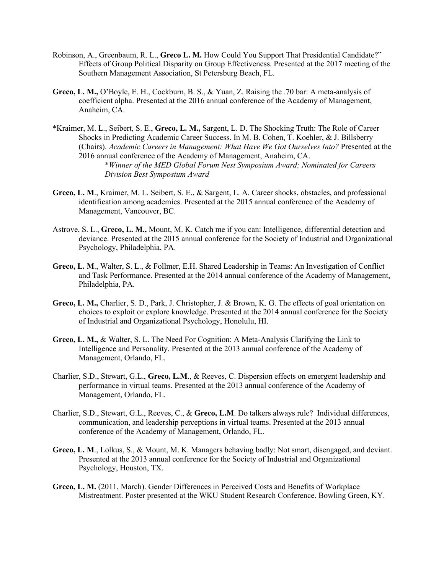- Robinson, A., Greenbaum, R. L., **Greco L. M.** How Could You Support That Presidential Candidate?" Effects of Group Political Disparity on Group Effectiveness. Presented at the 2017 meeting of the Southern Management Association, St Petersburg Beach, FL.
- **Greco, L. M.,** O'Boyle, E. H., Cockburn, B. S., & Yuan, Z. Raising the .70 bar: A meta-analysis of coefficient alpha. Presented at the 2016 annual conference of the Academy of Management, Anaheim, CA.
- \*Kraimer, M. L., Seibert, S. E., **Greco, L. M.,** Sargent, L. D. The Shocking Truth: The Role of Career Shocks in Predicting Academic Career Success. In M. B. Cohen, T. Koehler, & J. Billsberry (Chairs). *Academic Careers in Management: What Have We Got Ourselves Into?* Presented at the 2016 annual conference of the Academy of Management, Anaheim, CA. \**Winner of the MED Global Forum Nest Symposium Award; Nominated for Careers Division Best Symposium Award*
- **Greco, L. M**., Kraimer, M. L. Seibert, S. E., & Sargent, L. A. Career shocks, obstacles, and professional identification among academics. Presented at the 2015 annual conference of the Academy of Management, Vancouver, BC.
- Astrove, S. L., **Greco, L. M.,** Mount, M. K. Catch me if you can: Intelligence, differential detection and deviance. Presented at the 2015 annual conference for the Society of Industrial and Organizational Psychology, Philadelphia, PA.
- **Greco, L. M**., Walter, S. L., & Follmer, E.H. Shared Leadership in Teams: An Investigation of Conflict and Task Performance. Presented at the 2014 annual conference of the Academy of Management, Philadelphia, PA.
- **Greco, L. M.,** Charlier, S. D., Park, J. Christopher, J. & Brown, K. G. The effects of goal orientation on choices to exploit or explore knowledge. Presented at the 2014 annual conference for the Society of Industrial and Organizational Psychology, Honolulu, HI.
- **Greco, L. M.,** & Walter, S. L. The Need For Cognition: A Meta-Analysis Clarifying the Link to Intelligence and Personality. Presented at the 2013 annual conference of the Academy of Management, Orlando, FL.
- Charlier, S.D., Stewart, G.L., **Greco, L.M**., & Reeves, C. Dispersion effects on emergent leadership and performance in virtual teams. Presented at the 2013 annual conference of the Academy of Management, Orlando, FL.
- Charlier, S.D., Stewart, G.L., Reeves, C., & **Greco, L.M**. Do talkers always rule? Individual differences, communication, and leadership perceptions in virtual teams. Presented at the 2013 annual conference of the Academy of Management, Orlando, FL.
- **Greco, L. M**., Lolkus, S., & Mount, M. K. Managers behaving badly: Not smart, disengaged, and deviant. Presented at the 2013 annual conference for the Society of Industrial and Organizational Psychology, Houston, TX.
- **Greco, L. M.** (2011, March). Gender Differences in Perceived Costs and Benefits of Workplace Mistreatment. Poster presented at the WKU Student Research Conference. Bowling Green, KY.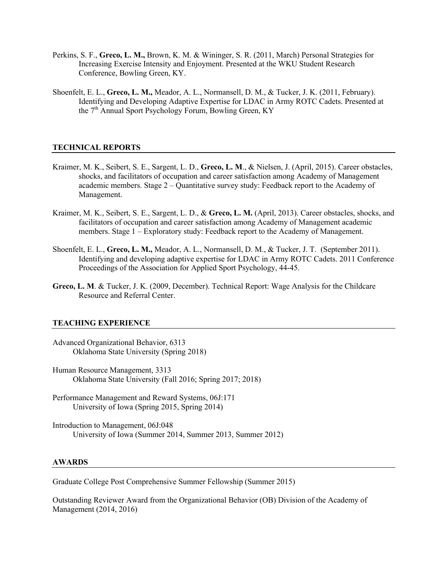- Perkins, S. F., **Greco, L. M.,** Brown, K. M. & Wininger, S. R. (2011, March) Personal Strategies for Increasing Exercise Intensity and Enjoyment. Presented at the WKU Student Research Conference, Bowling Green, KY.
- Shoenfelt, E. L., **Greco, L. M.,** Meador, A. L., Normansell, D. M., & Tucker, J. K. (2011, February). Identifying and Developing Adaptive Expertise for LDAC in Army ROTC Cadets. Presented at the 7<sup>th</sup> Annual Sport Psychology Forum, Bowling Green, KY

# **TECHNICAL REPORTS**

- Kraimer, M. K., Seibert, S. E., Sargent, L. D., **Greco, L. M**., & Nielsen, J. (April, 2015). Career obstacles, shocks, and facilitators of occupation and career satisfaction among Academy of Management academic members. Stage  $2 -$  Quantitative survey study: Feedback report to the Academy of Management.
- Kraimer, M. K., Seibert, S. E., Sargent, L. D., & **Greco, L. M.** (April, 2013). Career obstacles, shocks, and facilitators of occupation and career satisfaction among Academy of Management academic members. Stage 1 – Exploratory study: Feedback report to the Academy of Management.
- Shoenfelt, E. L., **Greco, L. M.,** Meador, A. L., Normansell, D. M., & Tucker, J. T. (September 2011). Identifying and developing adaptive expertise for LDAC in Army ROTC Cadets. 2011 Conference Proceedings of the Association for Applied Sport Psychology, 44-45.
- **Greco, L. M**. & Tucker, J. K. (2009, December). Technical Report: Wage Analysis for the Childcare Resource and Referral Center.

### **TEACHING EXPERIENCE**

- Advanced Organizational Behavior, 6313 Oklahoma State University (Spring 2018)
- Human Resource Management, 3313 Oklahoma State University (Fall 2016; Spring 2017; 2018)
- Performance Management and Reward Systems, 06J:171 University of Iowa (Spring 2015, Spring 2014)
- Introduction to Management, 06J:048 University of Iowa (Summer 2014, Summer 2013, Summer 2012)

### **AWARDS**

Graduate College Post Comprehensive Summer Fellowship (Summer 2015)

Outstanding Reviewer Award from the Organizational Behavior (OB) Division of the Academy of Management (2014, 2016)